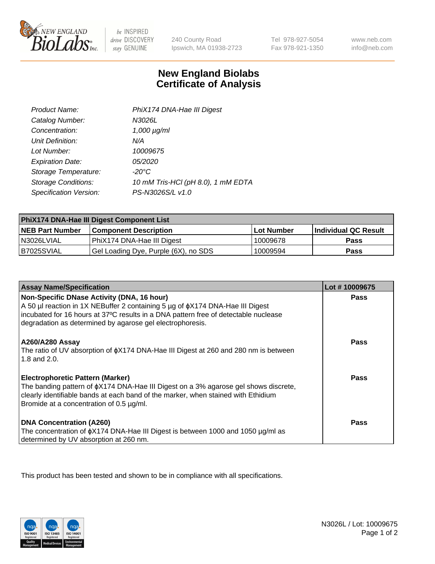

be INSPIRED drive DISCOVERY stay GENUINE

240 County Road Ipswich, MA 01938-2723 Tel 978-927-5054 Fax 978-921-1350

www.neb.com info@neb.com

## **New England Biolabs Certificate of Analysis**

| Product Name:              | PhiX174 DNA-Hae III Digest         |
|----------------------------|------------------------------------|
| Catalog Number:            | N3026L                             |
| Concentration:             | $1,000 \mu g/ml$                   |
| Unit Definition:           | N/A                                |
| Lot Number:                | 10009675                           |
| <b>Expiration Date:</b>    | <i>05/2020</i>                     |
| Storage Temperature:       | $-20^{\circ}$ C                    |
| <b>Storage Conditions:</b> | 10 mM Tris-HCl (pH 8.0), 1 mM EDTA |
| Specification Version:     | PS-N3026S/L v1.0                   |

| PhiX174 DNA-Hae III Digest Component List |                                      |                   |                      |  |
|-------------------------------------------|--------------------------------------|-------------------|----------------------|--|
| <b>NEB Part Number</b>                    | <b>Component Description</b>         | <b>Lot Number</b> | Individual QC Result |  |
| I N3026LVIAL                              | PhiX174 DNA-Hae III Digest           | 10009678          | <b>Pass</b>          |  |
| B7025SVIAL                                | Gel Loading Dye, Purple (6X), no SDS | 10009594          | <b>Pass</b>          |  |

| <b>Assay Name/Specification</b>                                                                                                                                                                                                                                                       | Lot #10009675 |
|---------------------------------------------------------------------------------------------------------------------------------------------------------------------------------------------------------------------------------------------------------------------------------------|---------------|
| Non-Specific DNase Activity (DNA, 16 hour)<br>A 50 µl reaction in 1X NEBuffer 2 containing 5 µg of $\phi$ X174 DNA-Hae III Digest<br>incubated for 16 hours at 37°C results in a DNA pattern free of detectable nuclease<br>degradation as determined by agarose gel electrophoresis. | <b>Pass</b>   |
| <b>A260/A280 Assay</b><br>The ratio of UV absorption of $\phi$ X174 DNA-Hae III Digest at 260 and 280 nm is between<br>1.8 and 2.0.                                                                                                                                                   | Pass          |
| <b>Electrophoretic Pattern (Marker)</b><br>The banding pattern of $\phi$ X174 DNA-Hae III Digest on a 3% agarose gel shows discrete,<br>clearly identifiable bands at each band of the marker, when stained with Ethidium<br>Bromide at a concentration of 0.5 µg/ml.                 | Pass          |
| <b>DNA Concentration (A260)</b><br>The concentration of $\phi$ X174 DNA-Hae III Digest is between 1000 and 1050 µg/ml as<br>determined by UV absorption at 260 nm.                                                                                                                    | <b>Pass</b>   |

This product has been tested and shown to be in compliance with all specifications.